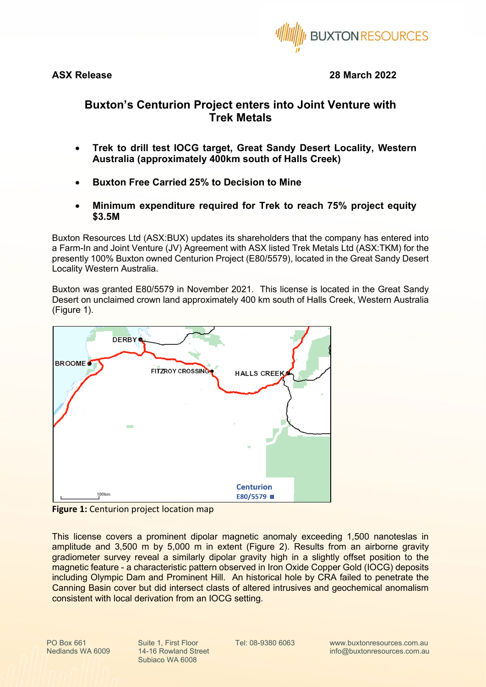

**ASX Release 28 March 2022**

## **Buxton's Centurion Project enters into Joint Venture with Trek Metals**

- **Trek to drill test IOCG target, Great Sandy Desert Locality, Western Australia (approximately 400km south of Halls Creek)**
- **Buxton Free Carried 25% to Decision to Mine**
- **Minimum expenditure required for Trek to reach 75% project equity \$3.5M**

Buxton Resources Ltd (ASX:BUX) updates its shareholders that the company has entered into a Farm-In and Joint Venture (JV) Agreement with ASX listed Trek Metals Ltd (ASX:TKM) for the presently 100% Buxton owned Centurion Project (E80/5579), located in the Great Sandy Desert Locality Western Australia.

Buxton was granted E80/5579 in November 2021. This license is located in the Great Sandy Desert on unclaimed crown land approximately 400 km south of Halls Creek, Western Australia [\(Figure 1\)](#page-0-0).



<span id="page-0-0"></span>**Figure 1:** Centurion project location map

This license covers a prominent dipolar magnetic anomaly exceeding 1,500 nanoteslas in amplitude and 3,500 m by 5,000 m in extent [\(Figure 2\)](#page-2-0). Results from an airborne gravity gradiometer survey reveal a similarly dipolar gravity high in a slightly offset position to the magnetic feature - a characteristic pattern observed in Iron Oxide Copper Gold (IOCG) deposits including Olympic Dam and Prominent Hill. An historical hole by CRA failed to penetrate the Canning Basin cover but did intersect clasts of altered intrusives and geochemical anomalism consistent with local derivation from an IOCG setting.

Nedlands WA 6009

PO Box 661 Suite 1, First Floor Tel: 08-9380 6063 14-16 Rowland Street Subiaco WA 6008

www.buxtonresources.com.au info@buxtonresources.com.au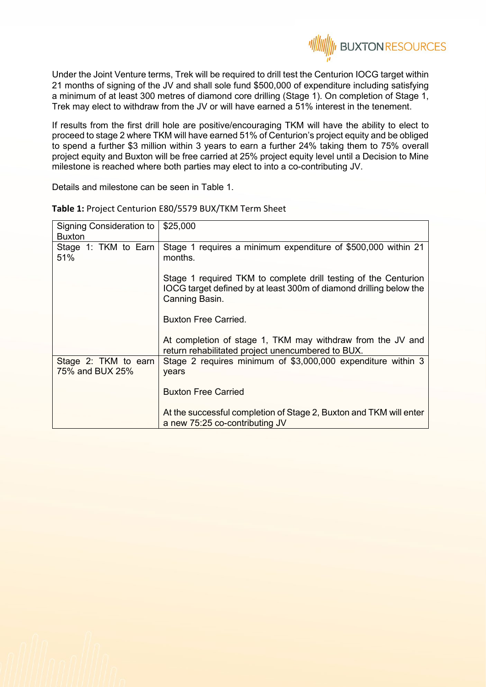Under the Joint Venture terms, Trek will be required to drill test the Centurion IOCG target within 21 months of signing of the JV and shall sole fund \$500,000 of expenditure including satisfying a minimum of at least 300 metres of diamond core drilling (Stage 1). On completion of Stage 1, Trek may elect to withdraw from the JV or will have earned a 51% interest in the tenement.

**II BUXTON RESOURCES** 

If results from the first drill hole are positive/encouraging TKM will have the ability to elect to proceed to stage 2 where TKM will have earned 51% of Centurion's project equity and be obliged to spend a further \$3 million within 3 years to earn a further 24% taking them to 75% overall project equity and Buxton will be free carried at 25% project equity level until a Decision to Mine milestone is reached where both parties may elect to into a co-contributing JV.

Details and milestone can be seen in Table 1.

| Signing Consideration to<br><b>Buxton</b> | \$25,000                                                                                                                                                |
|-------------------------------------------|---------------------------------------------------------------------------------------------------------------------------------------------------------|
| Stage 1: TKM to Earn<br>51%               | Stage 1 requires a minimum expenditure of \$500,000 within 21<br>months.                                                                                |
|                                           | Stage 1 required TKM to complete drill testing of the Centurion<br>IOCG target defined by at least 300m of diamond drilling below the<br>Canning Basin. |
|                                           | <b>Buxton Free Carried.</b>                                                                                                                             |
|                                           | At completion of stage 1, TKM may withdraw from the JV and<br>return rehabilitated project unencumbered to BUX.                                         |
| Stage 2: TKM to earn<br>75% and BUX 25%   | Stage 2 requires minimum of \$3,000,000 expenditure within 3<br>years                                                                                   |
|                                           | <b>Buxton Free Carried</b>                                                                                                                              |
|                                           | At the successful completion of Stage 2, Buxton and TKM will enter<br>a new 75:25 co-contributing JV                                                    |

**Table 1:** Project Centurion E80/5579 BUX/TKM Term Sheet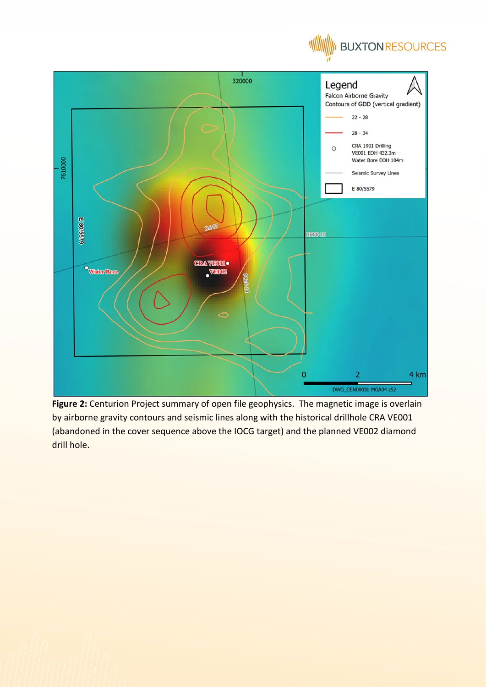



<span id="page-2-0"></span>Figure 2: Centurion Project summary of open file geophysics. The magnetic image is overlain by airborne gravity contours and seismic lines along with the historical drillhole CRA VE001 (abandoned in the cover sequence above the IOCG target) and the planned VE002 diamond drill hole.